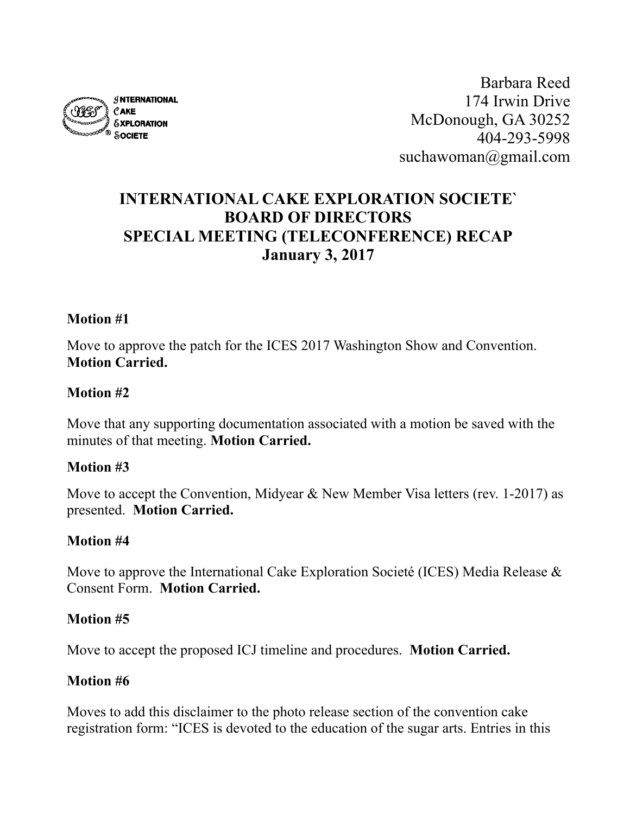

Barbara Reed 174 Irwin Drive McDonough, GA 30252 404-293-5998 suchawoman@gmail.com

# **INTERNATIONAL CAKE EXPLORATION SOCIETE` BOARD OF DIRECTORS SPECIAL MEETING (TELECONFERENCE) RECAP January 3, 2017**

#### **Motion #1**

Move to approve the patch for the ICES 2017 Washington Show and Convention. **Motion Carried.**

#### **Motion #2**

Move that any supporting documentation associated with a motion be saved with the minutes of that meeting. **Motion Carried.**

#### **Motion #3**

Move to accept the Convention, Midyear & New Member Visa letters (rev. 1-2017) as presented. **Motion Carried.**

#### **Motion #4**

Move to approve the International Cake Exploration Societé (ICES) Media Release  $\&$ Consent Form. **Motion Carried.**

#### **Motion #5**

Move to accept the proposed ICJ timeline and procedures. **Motion Carried.**

#### **Motion #6**

Moves to add this disclaimer to the photo release section of the convention cake registration form: "ICES is devoted to the education of the sugar arts. Entries in this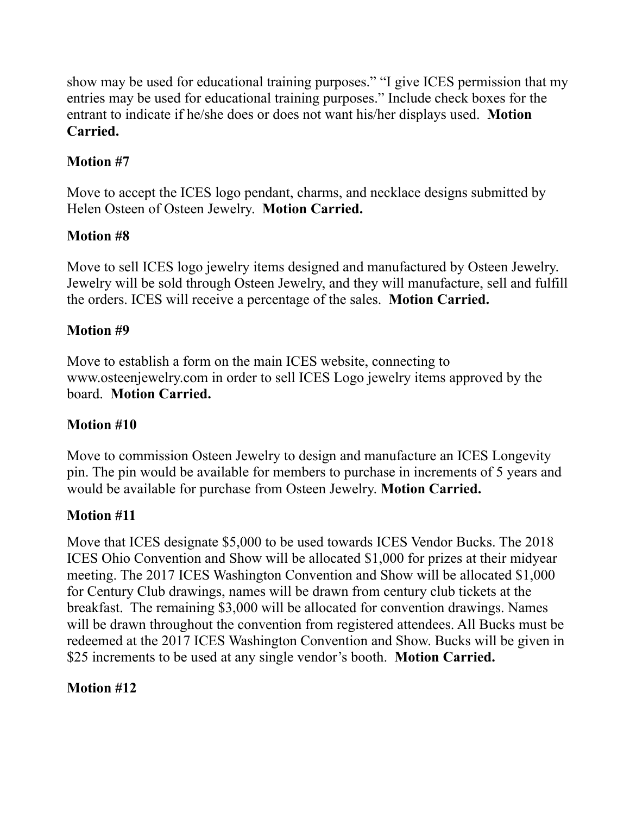show may be used for educational training purposes." "I give ICES permission that my entries may be used for educational training purposes." Include check boxes for the entrant to indicate if he/she does or does not want his/her displays used. **Motion Carried.**

# **Motion #7**

Move to accept the ICES logo pendant, charms, and necklace designs submitted by Helen Osteen of Osteen Jewelry. **Motion Carried.**

## **Motion #8**

Move to sell ICES logo jewelry items designed and manufactured by Osteen Jewelry. Jewelry will be sold through Osteen Jewelry, and they will manufacture, sell and fulfill the orders. ICES will receive a percentage of the sales. **Motion Carried.**

#### **Motion #9**

Move to establish a form on the main ICES website, connecting to www.osteenjewelry.com in order to sell ICES Logo jewelry items approved by the board. **Motion Carried.**

## **Motion #10**

Move to commission Osteen Jewelry to design and manufacture an ICES Longevity pin. The pin would be available for members to purchase in increments of 5 years and would be available for purchase from Osteen Jewelry. **Motion Carried.**

## **Motion #11**

Move that ICES designate \$5,000 to be used towards ICES Vendor Bucks. The 2018 ICES Ohio Convention and Show will be allocated \$1,000 for prizes at their midyear meeting. The 2017 ICES Washington Convention and Show will be allocated \$1,000 for Century Club drawings, names will be drawn from century club tickets at the breakfast. The remaining \$3,000 will be allocated for convention drawings. Names will be drawn throughout the convention from registered attendees. All Bucks must be redeemed at the 2017 ICES Washington Convention and Show. Bucks will be given in \$25 increments to be used at any single vendor's booth. **Motion Carried.**

# **Motion #12**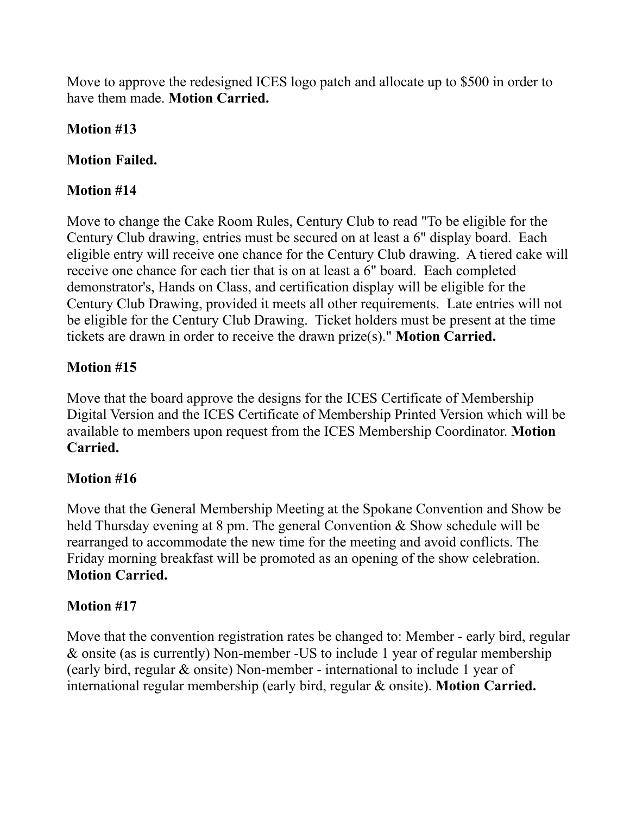Move to approve the redesigned ICES logo patch and allocate up to \$500 in order to have them made. **Motion Carried.**

## **Motion #13**

## **Motion Failed.**

## **Motion #14**

Move to change the Cake Room Rules, Century Club to read "To be eligible for the Century Club drawing, entries must be secured on at least a 6" display board. Each eligible entry will receive one chance for the Century Club drawing. A tiered cake will receive one chance for each tier that is on at least a 6" board. Each completed demonstrator's, Hands on Class, and certification display will be eligible for the Century Club Drawing, provided it meets all other requirements. Late entries will not be eligible for the Century Club Drawing. Ticket holders must be present at the time tickets are drawn in order to receive the drawn prize(s)." **Motion Carried.**

## **Motion #15**

Move that the board approve the designs for the ICES Certificate of Membership Digital Version and the ICES Certificate of Membership Printed Version which will be available to members upon request from the ICES Membership Coordinator. **Motion Carried.**

## **Motion #16**

Move that the General Membership Meeting at the Spokane Convention and Show be held Thursday evening at 8 pm. The general Convention & Show schedule will be rearranged to accommodate the new time for the meeting and avoid conflicts. The Friday morning breakfast will be promoted as an opening of the show celebration. **Motion Carried.**

# **Motion #17**

Move that the convention registration rates be changed to: Member - early bird, regular & onsite (as is currently) Non-member -US to include 1 year of regular membership (early bird, regular & onsite) Non-member - international to include 1 year of international regular membership (early bird, regular & onsite). **Motion Carried.**